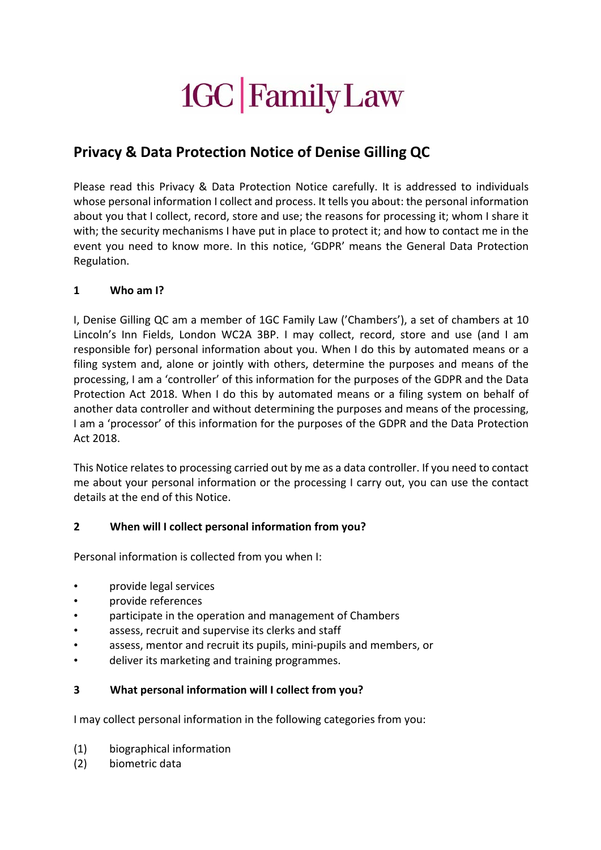# 1GC Family Law

# **Privacy & Data Protection Notice of Denise Gilling QC**

Please read this Privacy & Data Protection Notice carefully. It is addressed to individuals whose personal information I collect and process. It tells you about: the personal information about you that I collect, record, store and use; the reasons for processing it; whom I share it with; the security mechanisms I have put in place to protect it; and how to contact me in the event you need to know more. In this notice, 'GDPR' means the General Data Protection Regulation.

# **1 Who am I?**

I, Denise Gilling QC am a member of 1GC Family Law ('Chambers'), a set of chambers at 10 Lincoln's Inn Fields, London WC2A 3BP. I may collect, record, store and use (and I am responsible for) personal information about you. When I do this by automated means or a filing system and, alone or jointly with others, determine the purposes and means of the processing, I am a 'controller' of this information for the purposes of the GDPR and the Data Protection Act 2018. When I do this by automated means or a filing system on behalf of another data controller and without determining the purposes and means of the processing, I am a 'processor' of this information for the purposes of the GDPR and the Data Protection Act 2018.

This Notice relates to processing carried out by me as a data controller. If you need to contact me about your personal information or the processing I carry out, you can use the contact details at the end of this Notice.

# **2 When will I collect personal information from you?**

Personal information is collected from you when I:

- provide legal services
- provide references
- participate in the operation and management of Chambers
- assess, recruit and supervise its clerks and staff
- assess, mentor and recruit its pupils, mini-pupils and members, or
- deliver its marketing and training programmes.

# **3 What personal information will I collect from you?**

I may collect personal information in the following categories from you:

- (1) biographical information
- (2) biometric data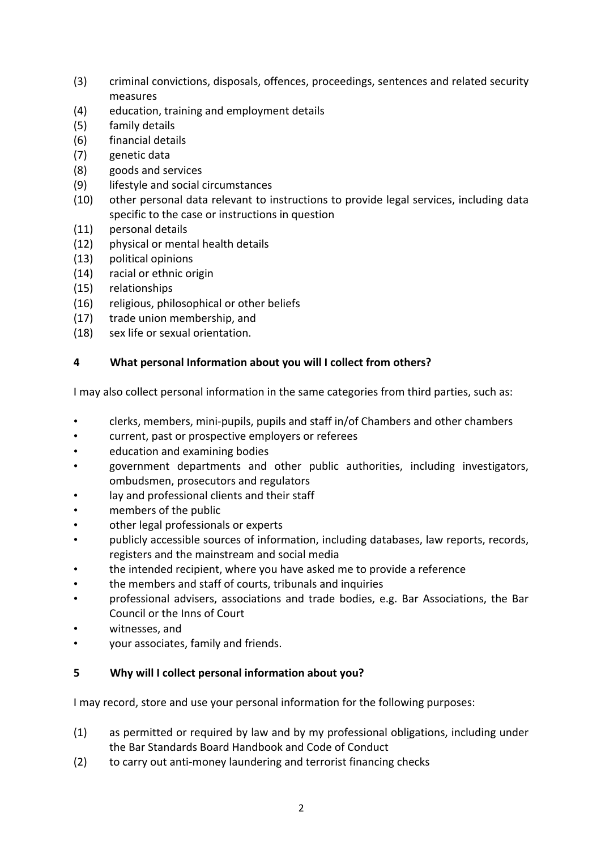- (3) criminal convictions, disposals, offences, proceedings, sentences and related security measures
- (4) education, training and employment details
- (5) family details
- (6) financial details
- (7) genetic data
- (8) goods and services
- (9) lifestyle and social circumstances
- (10) other personal data relevant to instructions to provide legal services, including data specific to the case or instructions in question
- (11) personal details
- (12) physical or mental health details
- (13) political opinions
- (14) racial or ethnic origin
- (15) relationships
- (16) religious, philosophical or other beliefs
- (17) trade union membership, and
- (18) sex life or sexual orientation.

# **4 What personal Information about you will I collect from others?**

I may also collect personal information in the same categories from third parties, such as:

- clerks, members, mini-pupils, pupils and staff in/of Chambers and other chambers
- current, past or prospective employers or referees
- education and examining bodies
- government departments and other public authorities, including investigators, ombudsmen, prosecutors and regulators
- lay and professional clients and their staff
- members of the public
- other legal professionals or experts
- publicly accessible sources of information, including databases, law reports, records, registers and the mainstream and social media
- the intended recipient, where you have asked me to provide a reference
- the members and staff of courts, tribunals and inquiries
- professional advisers, associations and trade bodies, e.g. Bar Associations, the Bar Council or the Inns of Court
- witnesses, and
- your associates, family and friends.

# **5 Why will I collect personal information about you?**

I may record, store and use your personal information for the following purposes:

- (1) as permitted or required by law and by my professional obligations, including under the Bar Standards Board Handbook and Code of Conduct
- (2) to carry out anti-money laundering and terrorist financing checks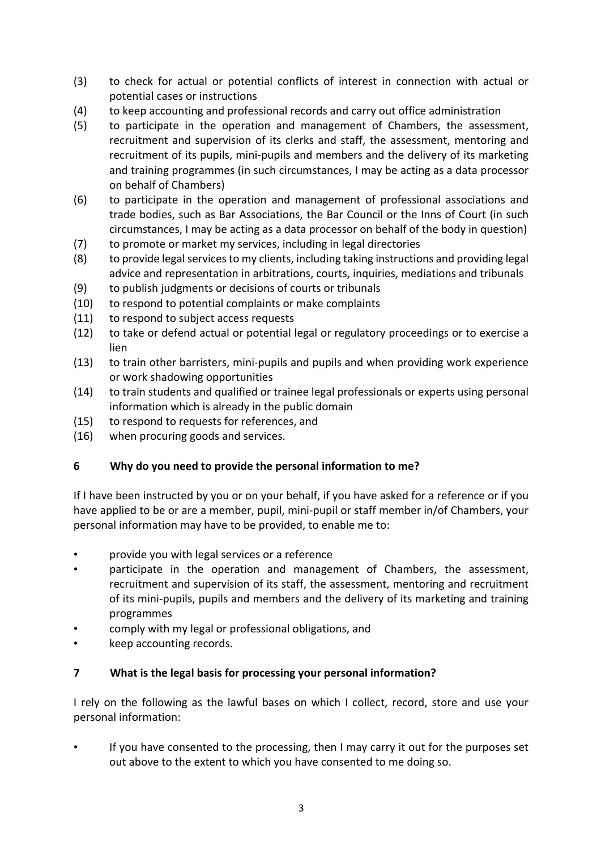- (3) to check for actual or potential conflicts of interest in connection with actual or potential cases or instructions
- (4) to keep accounting and professional records and carry out office administration
- (5) to participate in the operation and management of Chambers, the assessment, recruitment and supervision of its clerks and staff, the assessment, mentoring and recruitment of its pupils, mini-pupils and members and the delivery of its marketing and training programmes (in such circumstances, I may be acting as a data processor on behalf of Chambers)
- (6) to participate in the operation and management of professional associations and trade bodies, such as Bar Associations, the Bar Council or the Inns of Court (in such circumstances, I may be acting as a data processor on behalf of the body in question)
- (7) to promote or market my services, including in legal directories
- (8) to provide legal services to my clients, including taking instructions and providing legal advice and representation in arbitrations, courts, inquiries, mediations and tribunals
- (9) to publish judgments or decisions of courts or tribunals
- (10) to respond to potential complaints or make complaints
- (11) to respond to subject access requests
- (12) to take or defend actual or potential legal or regulatory proceedings or to exercise a lien
- (13) to train other barristers, mini-pupils and pupils and when providing work experience or work shadowing opportunities
- (14) to train students and qualified or trainee legal professionals or experts using personal information which is already in the public domain
- (15) to respond to requests for references, and
- (16) when procuring goods and services.

# **6 Why do you need to provide the personal information to me?**

If I have been instructed by you or on your behalf, if you have asked for a reference or if you have applied to be or are a member, pupil, mini-pupil or staff member in/of Chambers, your personal information may have to be provided, to enable me to:

- provide you with legal services or a reference
- participate in the operation and management of Chambers, the assessment. recruitment and supervision of its staff, the assessment, mentoring and recruitment of its mini-pupils, pupils and members and the delivery of its marketing and training programmes
- comply with my legal or professional obligations, and
- keep accounting records.

# **7 What is the legal basis for processing your personal information?**

I rely on the following as the lawful bases on which I collect, record, store and use your personal information:

If you have consented to the processing, then I may carry it out for the purposes set out above to the extent to which you have consented to me doing so.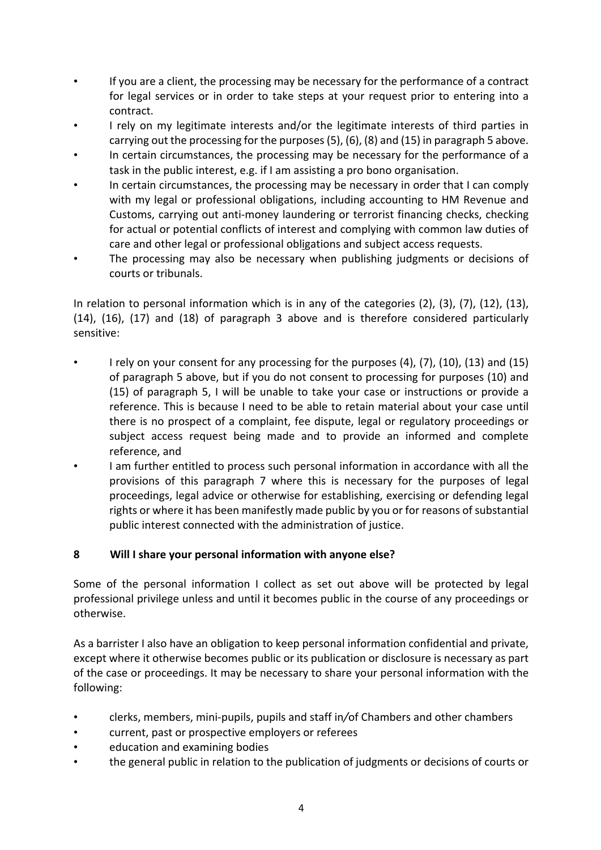- If you are a client, the processing may be necessary for the performance of a contract for legal services or in order to take steps at your request prior to entering into a contract.
- I rely on my legitimate interests and/or the legitimate interests of third parties in carrying out the processing for the purposes (5), (6), (8) and (15) in paragraph 5 above.
- In certain circumstances, the processing may be necessary for the performance of a task in the public interest, e.g. if I am assisting a pro bono organisation.
- In certain circumstances, the processing may be necessary in order that I can comply with my legal or professional obligations, including accounting to HM Revenue and Customs, carrying out anti-money laundering or terrorist financing checks, checking for actual or potential conflicts of interest and complying with common law duties of care and other legal or professional obligations and subject access requests.
- The processing may also be necessary when publishing judgments or decisions of courts or tribunals.

In relation to personal information which is in any of the categories (2), (3), (7), (12), (13), (14), (16), (17) and (18) of paragraph 3 above and is therefore considered particularly sensitive:

- I rely on your consent for any processing for the purposes (4), (7), (10), (13) and (15) of paragraph 5 above, but if you do not consent to processing for purposes (10) and (15) of paragraph 5, I will be unable to take your case or instructions or provide a reference. This is because I need to be able to retain material about your case until there is no prospect of a complaint, fee dispute, legal or regulatory proceedings or subject access request being made and to provide an informed and complete reference, and
- I am further entitled to process such personal information in accordance with all the provisions of this paragraph 7 where this is necessary for the purposes of legal proceedings, legal advice or otherwise for establishing, exercising or defending legal rights or where it has been manifestly made public by you or for reasons of substantial public interest connected with the administration of justice.

# **8 Will I share your personal information with anyone else?**

Some of the personal information I collect as set out above will be protected by legal professional privilege unless and until it becomes public in the course of any proceedings or otherwise.

As a barrister I also have an obligation to keep personal information confidential and private, except where it otherwise becomes public or its publication or disclosure is necessary as part of the case or proceedings. It may be necessary to share your personal information with the following:

- clerks, members, mini-pupils, pupils and staff in*/*of Chambers and other chambers
- current, past or prospective employers or referees
- education and examining bodies
- the general public in relation to the publication of judgments or decisions of courts or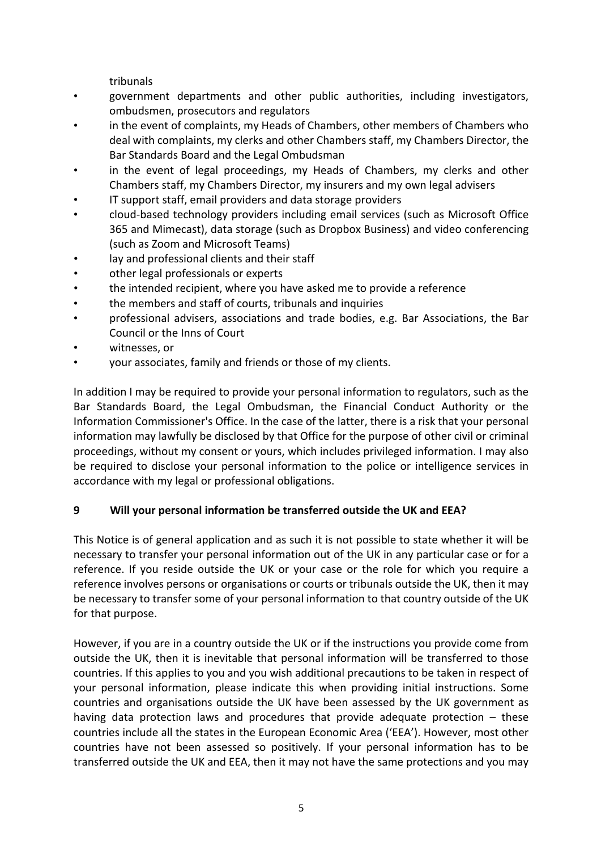tribunals

- government departments and other public authorities, including investigators, ombudsmen, prosecutors and regulators
- in the event of complaints, my Heads of Chambers, other members of Chambers who deal with complaints, my clerks and other Chambers staff, my Chambers Director, the Bar Standards Board and the Legal Ombudsman
- in the event of legal proceedings, my Heads of Chambers, my clerks and other Chambers staff, my Chambers Director, my insurers and my own legal advisers
- IT support staff, email providers and data storage providers
- cloud-based technology providers including email services (such as Microsoft Office 365 and Mimecast), data storage (such as Dropbox Business) and video conferencing (such as Zoom and Microsoft Teams)
- lay and professional clients and their staff
- other legal professionals or experts
- the intended recipient, where you have asked me to provide a reference
- the members and staff of courts, tribunals and inquiries
- professional advisers, associations and trade bodies, e.g. Bar Associations, the Bar Council or the Inns of Court
- witnesses, or
- your associates, family and friends or those of my clients.

In addition I may be required to provide your personal information to regulators, such as the Bar Standards Board, the Legal Ombudsman, the Financial Conduct Authority or the Information Commissioner's Office. In the case of the latter, there is a risk that your personal information may lawfully be disclosed by that Office for the purpose of other civil or criminal proceedings, without my consent or yours, which includes privileged information. I may also be required to disclose your personal information to the police or intelligence services in accordance with my legal or professional obligations.

# **9 Will your personal information be transferred outside the UK and EEA?**

This Notice is of general application and as such it is not possible to state whether it will be necessary to transfer your personal information out of the UK in any particular case or for a reference. If you reside outside the UK or your case or the role for which you require a reference involves persons or organisations or courts or tribunals outside the UK, then it may be necessary to transfer some of your personal information to that country outside of the UK for that purpose.

However, if you are in a country outside the UK or if the instructions you provide come from outside the UK, then it is inevitable that personal information will be transferred to those countries. If this applies to you and you wish additional precautions to be taken in respect of your personal information, please indicate this when providing initial instructions. Some countries and organisations outside the UK have been assessed by the UK government as having data protection laws and procedures that provide adequate protection – these countries include all the states in the European Economic Area ('EEA'). However, most other countries have not been assessed so positively. If your personal information has to be transferred outside the UK and EEA, then it may not have the same protections and you may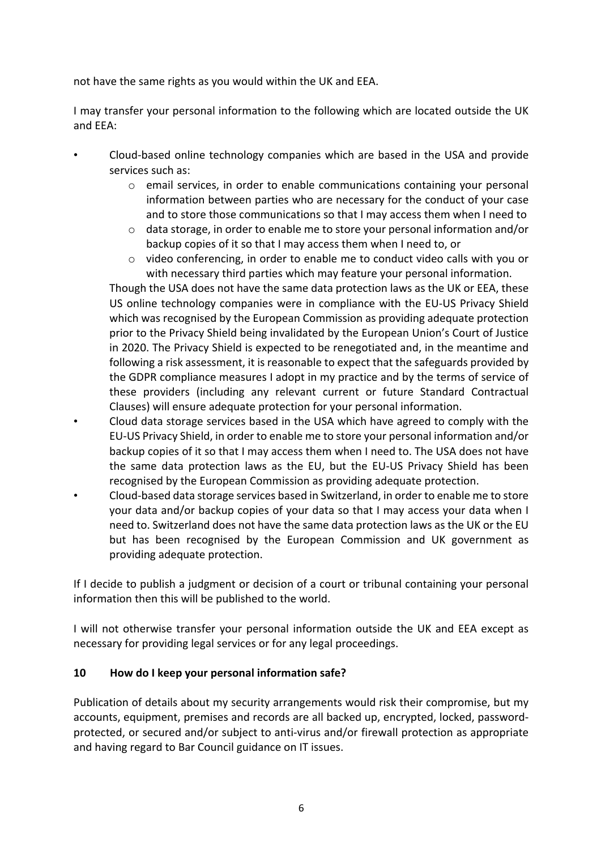not have the same rights as you would within the UK and EEA.

I may transfer your personal information to the following which are located outside the UK and EEA:

- Cloud-based online technology companies which are based in the USA and provide services such as:
	- $\circ$  email services, in order to enable communications containing your personal information between parties who are necessary for the conduct of your case and to store those communications so that I may access them when I need to
	- o data storage, in order to enable me to store your personal information and/or backup copies of it so that I may access them when I need to, or
	- o video conferencing, in order to enable me to conduct video calls with you or with necessary third parties which may feature your personal information.

Though the USA does not have the same data protection laws as the UK or EEA, these US online technology companies were in compliance with the EU-US Privacy Shield which was recognised by the European Commission as providing adequate protection prior to the Privacy Shield being invalidated by the European Union's Court of Justice in 2020. The Privacy Shield is expected to be renegotiated and, in the meantime and following a risk assessment, it is reasonable to expect that the safeguards provided by the GDPR compliance measures I adopt in my practice and by the terms of service of these providers (including any relevant current or future Standard Contractual Clauses) will ensure adequate protection for your personal information.

- Cloud data storage services based in the USA which have agreed to comply with the EU-US Privacy Shield, in order to enable me to store your personal information and/or backup copies of it so that I may access them when I need to. The USA does not have the same data protection laws as the EU, but the EU-US Privacy Shield has been recognised by the European Commission as providing adequate protection.
- Cloud-based data storage services based in Switzerland, in order to enable me to store your data and/or backup copies of your data so that I may access your data when I need to. Switzerland does not have the same data protection laws as the UK or the EU but has been recognised by the European Commission and UK government as providing adequate protection.

If I decide to publish a judgment or decision of a court or tribunal containing your personal information then this will be published to the world.

I will not otherwise transfer your personal information outside the UK and EEA except as necessary for providing legal services or for any legal proceedings.

# **10 How do I keep your personal information safe?**

Publication of details about my security arrangements would risk their compromise, but my accounts, equipment, premises and records are all backed up, encrypted, locked, passwordprotected, or secured and/or subject to anti-virus and/or firewall protection as appropriate and having regard to Bar Council guidance on IT issues.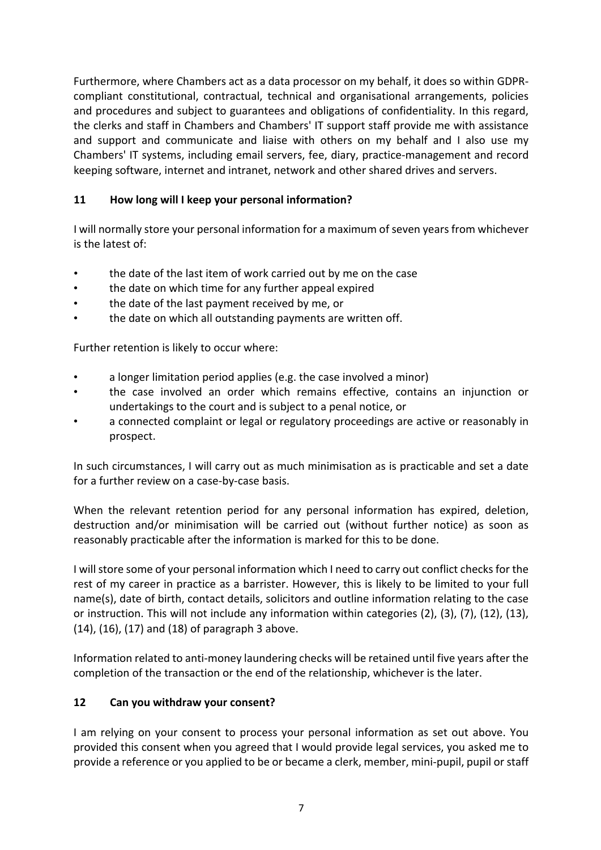Furthermore, where Chambers act as a data processor on my behalf, it does so within GDPRcompliant constitutional, contractual, technical and organisational arrangements, policies and procedures and subject to guarantees and obligations of confidentiality. In this regard, the clerks and staff in Chambers and Chambers' IT support staff provide me with assistance and support and communicate and liaise with others on my behalf and I also use my Chambers' IT systems, including email servers, fee, diary, practice-management and record keeping software, internet and intranet, network and other shared drives and servers.

# **11 How long will I keep your personal information?**

I will normally store your personal information for a maximum of seven years from whichever is the latest of:

- the date of the last item of work carried out by me on the case
- the date on which time for any further appeal expired
- the date of the last payment received by me, or
- the date on which all outstanding payments are written off.

Further retention is likely to occur where:

- a longer limitation period applies (e.g. the case involved a minor)
- the case involved an order which remains effective, contains an injunction or undertakings to the court and is subject to a penal notice, or
- a connected complaint or legal or regulatory proceedings are active or reasonably in prospect.

In such circumstances, I will carry out as much minimisation as is practicable and set a date for a further review on a case-by-case basis.

When the relevant retention period for any personal information has expired, deletion, destruction and/or minimisation will be carried out (without further notice) as soon as reasonably practicable after the information is marked for this to be done.

I will store some of your personal information which I need to carry out conflict checks for the rest of my career in practice as a barrister. However, this is likely to be limited to your full name(s), date of birth, contact details, solicitors and outline information relating to the case or instruction. This will not include any information within categories (2), (3), (7), (12), (13), (14), (16), (17) and (18) of paragraph 3 above.

Information related to anti-money laundering checks will be retained until five years after the completion of the transaction or the end of the relationship, whichever is the later.

# **12 Can you withdraw your consent?**

I am relying on your consent to process your personal information as set out above. You provided this consent when you agreed that I would provide legal services, you asked me to provide a reference or you applied to be or became a clerk, member, mini-pupil, pupil or staff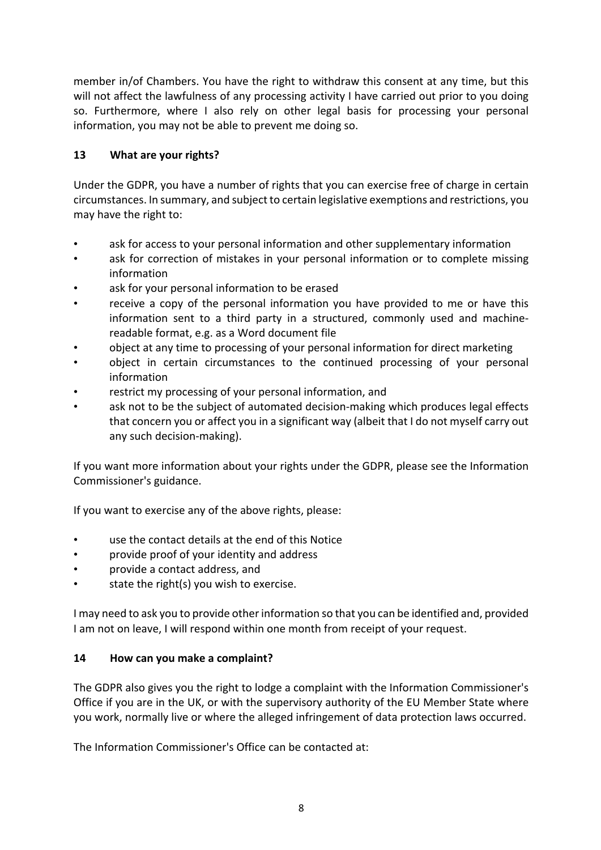member in/of Chambers. You have the right to withdraw this consent at any time, but this will not affect the lawfulness of any processing activity I have carried out prior to you doing so. Furthermore, where I also rely on other legal basis for processing your personal information, you may not be able to prevent me doing so.

# **13 What are your rights?**

Under the GDPR, you have a number of rights that you can exercise free of charge in certain circumstances. In summary, and subject to certain legislative exemptions and restrictions, you may have the right to:

- ask for access to your personal information and other supplementary information
- ask for correction of mistakes in your personal information or to complete missing information
- ask for your personal information to be erased
- receive a copy of the personal information you have provided to me or have this information sent to a third party in a structured, commonly used and machinereadable format, e.g. as a Word document file
- object at any time to processing of your personal information for direct marketing
- object in certain circumstances to the continued processing of your personal information
- restrict my processing of your personal information, and
- ask not to be the subject of automated decision-making which produces legal effects that concern you or affect you in a significant way (albeit that I do not myself carry out any such decision-making).

If you want more information about your rights under the GDPR, please see the Information Commissioner's guidance.

If you want to exercise any of the above rights, please:

- use the contact details at the end of this Notice
- provide proof of your identity and address
- provide a contact address, and
- state the right(s) you wish to exercise.

I may need to ask you to provide other information so that you can be identified and, provided I am not on leave, I will respond within one month from receipt of your request.

# **14 How can you make a complaint?**

The GDPR also gives you the right to lodge a complaint with the Information Commissioner's Office if you are in the UK, or with the supervisory authority of the EU Member State where you work, normally live or where the alleged infringement of data protection laws occurred.

The Information Commissioner's Office can be contacted at: